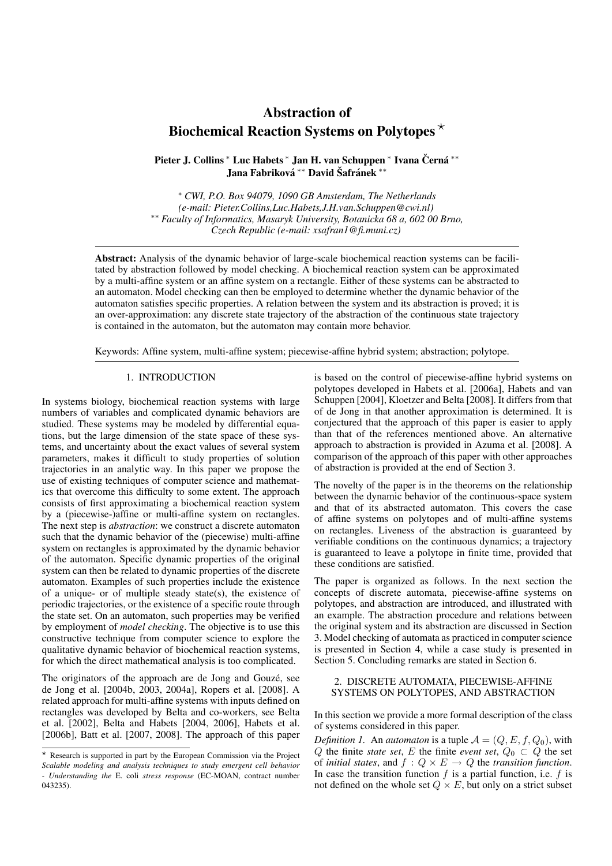# Abstraction of Biochemical Reaction Systems on Polytopes  $\star$

Pieter J. Collins \* Luc Habets \* Jan H. van Schuppen \* Ivana Černá \*\* Jana Fabriková \*\* David Šafránek \*\*

<sup>∗</sup> *CWI, P.O. Box 94079, 1090 GB Amsterdam, The Netherlands (e-mail: Pieter.Collins,Luc.Habets,J.H.van.Schuppen@cwi.nl)* ∗∗ *Faculty of Informatics, Masaryk University, Botanicka 68 a, 602 00 Brno, Czech Republic (e-mail: xsafran1@fi.muni.cz)*

Abstract: Analysis of the dynamic behavior of large-scale biochemical reaction systems can be facilitated by abstraction followed by model checking. A biochemical reaction system can be approximated by a multi-affine system or an affine system on a rectangle. Either of these systems can be abstracted to an automaton. Model checking can then be employed to determine whether the dynamic behavior of the automaton satisfies specific properties. A relation between the system and its abstraction is proved; it is an over-approximation: any discrete state trajectory of the abstraction of the continuous state trajectory is contained in the automaton, but the automaton may contain more behavior.

Keywords: Affine system, multi-affine system; piecewise-affine hybrid system; abstraction; polytope.

#### 1. INTRODUCTION

In systems biology, biochemical reaction systems with large numbers of variables and complicated dynamic behaviors are studied. These systems may be modeled by differential equations, but the large dimension of the state space of these systems, and uncertainty about the exact values of several system parameters, makes it difficult to study properties of solution trajectories in an analytic way. In this paper we propose the use of existing techniques of computer science and mathematics that overcome this difficulty to some extent. The approach consists of first approximating a biochemical reaction system by a (piecewise-)affine or multi-affine system on rectangles. The next step is *abstraction*: we construct a discrete automaton such that the dynamic behavior of the (piecewise) multi-affine system on rectangles is approximated by the dynamic behavior of the automaton. Specific dynamic properties of the original system can then be related to dynamic properties of the discrete automaton. Examples of such properties include the existence of a unique- or of multiple steady state(s), the existence of periodic trajectories, or the existence of a specific route through the state set. On an automaton, such properties may be verified by employment of *model checking*. The objective is to use this constructive technique from computer science to explore the qualitative dynamic behavior of biochemical reaction systems, for which the direct mathematical analysis is too complicated.

The originators of the approach are de Jong and Gouzé, see de Jong et al. [2004b, 2003, 2004a], Ropers et al. [2008]. A related approach for multi-affine systems with inputs defined on rectangles was developed by Belta and co-workers, see Belta et al. [2002], Belta and Habets [2004, 2006], Habets et al. [2006b], Batt et al. [2007, 2008]. The approach of this paper is based on the control of piecewise-affine hybrid systems on polytopes developed in Habets et al. [2006a], Habets and van Schuppen [2004], Kloetzer and Belta [2008]. It differs from that of de Jong in that another approximation is determined. It is conjectured that the approach of this paper is easier to apply than that of the references mentioned above. An alternative approach to abstraction is provided in Azuma et al. [2008]. A comparison of the approach of this paper with other approaches of abstraction is provided at the end of Section 3.

The novelty of the paper is in the theorems on the relationship between the dynamic behavior of the continuous-space system and that of its abstracted automaton. This covers the case of affine systems on polytopes and of multi-affine systems on rectangles. Liveness of the abstraction is guaranteed by verifiable conditions on the continuous dynamics; a trajectory is guaranteed to leave a polytope in finite time, provided that these conditions are satisfied.

The paper is organized as follows. In the next section the concepts of discrete automata, piecewise-affine systems on polytopes, and abstraction are introduced, and illustrated with an example. The abstraction procedure and relations between the original system and its abstraction are discussed in Section 3. Model checking of automata as practiced in computer science is presented in Section 4, while a case study is presented in Section 5. Concluding remarks are stated in Section 6.

# 2. DISCRETE AUTOMATA, PIECEWISE-AFFINE SYSTEMS ON POLYTOPES, AND ABSTRACTION

In this section we provide a more formal description of the class of systems considered in this paper.

*Definition 1.* An *automaton* is a tuple  $A = (Q, E, f, Q_0)$ , with Q the finite *state set*, E the finite *event set*,  $Q_0 \n\subset Q$  the set of *initial states*, and  $f : Q \times E \to Q$  the *transition function*. In case the transition function  $f$  is a partial function, i.e.  $f$  is not defined on the whole set  $Q \times E$ , but only on a strict subset

 $*$  Research is supported in part by the European Commission via the Project *Scalable modeling and analysis techniques to study emergent cell behavior - Understanding the* E. coli *stress response* (EC-MOAN, contract number 043235).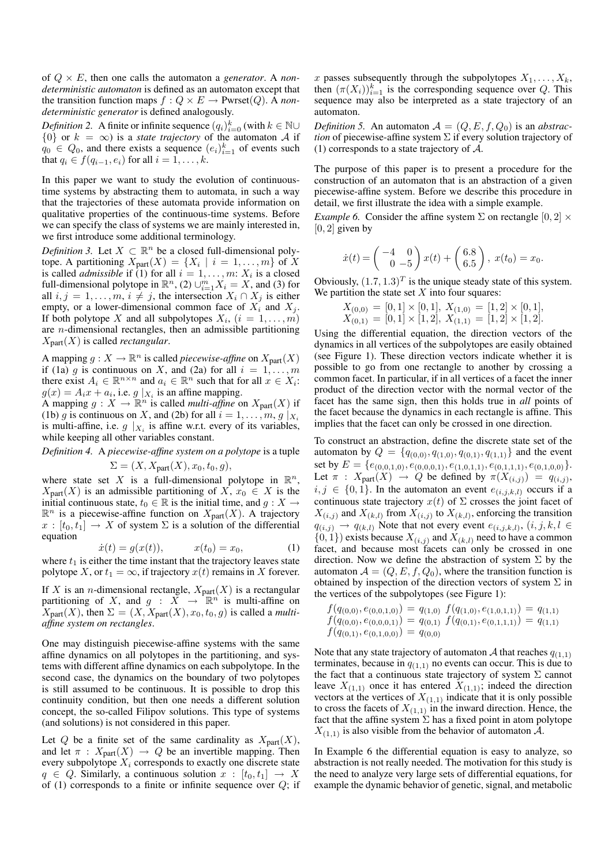of  $Q \times E$ , then one calls the automaton a *generator*. A *nondeterministic automaton* is defined as an automaton except that the transition function maps  $f: Q \times E \rightarrow P{\text{wrset}}(Q)$ . A *nondeterministic generator* is defined analogously.

*Definition 2.* A finite or infinite sequence  $(q_i)_{i=0}^k$  (with  $k \in \mathbb{N} \cup$  $\{0\}$  or  $k = \infty$ ) is a *state trajectory* of the automaton A if  $q_0 \in Q_0$ , and there exists a sequence  $(e_i)_{i=1}^k$  of events such that  $q_i \in f(q_{i-1}, e_i)$  for all  $i = 1, \ldots, k$ .

In this paper we want to study the evolution of continuoustime systems by abstracting them to automata, in such a way that the trajectories of these automata provide information on qualitative properties of the continuous-time systems. Before we can specify the class of systems we are mainly interested in, we first introduce some additional terminology.

*Definition 3.* Let  $X \subset \mathbb{R}^n$  be a closed full-dimensional polytope. A partitioning  $X_{part}(X) = \{X_i \mid i = 1, ..., m\}$  of X is called *admissible* if (1) for all  $i = 1, \dots, m$ :  $X_i$  is a closed full-dimensional polytope in  $\mathbb{R}^n$ , (2)  $\cup_{i=1}^m X_i = X$ , and (3) for all  $i, j = 1, \ldots, m, i \neq j$ , the intersection  $X_i \cap X_j$  is either empty, or a lower-dimensional common face of  $X_i$  and  $X_j$ . If both polytope X and all subpolytopes  $X_i$ ,  $(i = 1, \ldots, m)$ are n-dimensional rectangles, then an admissible partitioning  $X_{part}(X)$  is called *rectangular*.

A mapping  $g: X \to \mathbb{R}^n$  is called *piecewise-affine* on  $X_{\text{part}}(X)$ if (1a) g is continuous on X, and (2a) for all  $i = 1, ..., m$ there exist  $A_i \in \mathbb{R}^{n \times n}$  and  $a_i \in \mathbb{R}^n$  such that for all  $x \in X_i$ :  $g(x) = A_i x + a_i$ , i.e.  $g \mid_{X_i}$  is an affine mapping.

A mapping  $g: X \to \mathbb{R}^n$  is called *multi-affine* on  $X_{\text{part}}(X)$  if (1b) g is continuous on X, and (2b) for all  $i = 1, \ldots, m, g \mid_{X_i}$ is multi-affine, i.e.  $g \nvert_{X_i}$  is affine w.r.t. every of its variables, while keeping all other variables constant.

*Definition 4.* A *piecewise-affine system on a polytope* is a tuple  $\Sigma = (X, X_{part}(X), x_0, t_0, g),$ 

where state set X is a full-dimensional polytope in  $\mathbb{R}^n$ ,  $X_{part}(X)$  is an admissible partitioning of  $X, x_0 \in X$  is the initial continuous state,  $t_0 \in \mathbb{R}$  is the initial time, and  $g: X \to$  $\mathbb{R}^n$  is a piecewise-affine function on  $X_{part}(X)$ . A trajectory  $x : [t_0, t_1] \rightarrow X$  of system  $\Sigma$  is a solution of the differential equation

$$
\dot{x}(t) = g(x(t)), \qquad x(t_0) = x_0, \tag{1}
$$

where  $t_1$  is either the time instant that the trajectory leaves state polytope X, or  $t_1 = \infty$ , if trajectory  $x(t)$  remains in X forever.

If X is an *n*-dimensional rectangle,  $X_{part}(X)$  is a rectangular partitioning of X, and  $g : X \to \mathbb{R}^n$  is multi-affine on  $X_{part}(X)$ , then  $\Sigma = (X, X_{part}(X), x_0, t_0, g)$  is called a *multiaffine system on rectangles*.

One may distinguish piecewise-affine systems with the same affine dynamics on all polytopes in the partitioning, and systems with different affine dynamics on each subpolytope. In the second case, the dynamics on the boundary of two polytopes is still assumed to be continuous. It is possible to drop this continuity condition, but then one needs a different solution concept, the so-called Filipov solutions. This type of systems (and solutions) is not considered in this paper.

Let Q be a finite set of the same cardinality as  $X_{part}(X)$ , and let  $\pi$  :  $X_{part}(X) \rightarrow Q$  be an invertible mapping. Then every subpolytope  $X_i$  corresponds to exactly one discrete state  $q \in Q$ . Similarly, a continuous solution  $x : [t_0, t_1] \rightarrow X$ of (1) corresponds to a finite or infinite sequence over  $Q$ ; if x passes subsequently through the subpolytopes  $X_1, \ldots, X_k$ , then  $(\pi(X_i))_{i=1}^k$  is the corresponding sequence over Q. This sequence may also be interpreted as a state trajectory of an automaton.

*Definition 5.* An automaton  $A = (Q, E, f, Q_0)$  is an *abstraction* of piecewise-affine system Σ if every solution trajectory of (1) corresponds to a state trajectory of  $A$ .

The purpose of this paper is to present a procedure for the construction of an automaton that is an abstraction of a given piecewise-affine system. Before we describe this procedure in detail, we first illustrate the idea with a simple example.

*Example 6.* Consider the affine system  $\Sigma$  on rectangle  $[0, 2] \times$  $[0, 2]$  given by

$$
\dot{x}(t) = \begin{pmatrix} -4 & 0 \\ 0 & -5 \end{pmatrix} x(t) + \begin{pmatrix} 6.8 \\ 6.5 \end{pmatrix}, \ x(t_0) = x_0.
$$

Obviously,  $(1.7, 1.3)^T$  is the unique steady state of this system. We partition the state set  $X$  into four squares:

$$
\begin{array}{l}\nX_{(0,0)} = [0,1] \times [0,1], \ X_{(1,0)} = [1,2] \times [0,1], \\
X_{(0,1)} = [0,1] \times [1,2], \ X_{(1,1)} = [1,2] \times [1,2].\n\end{array}
$$

Using the differential equation, the direction vectors of the dynamics in all vertices of the subpolytopes are easily obtained (see Figure 1). These direction vectors indicate whether it is possible to go from one rectangle to another by crossing a common facet. In particular, if in all vertices of a facet the inner product of the direction vector with the normal vector of the facet has the same sign, then this holds true in *all* points of the facet because the dynamics in each rectangle is affine. This implies that the facet can only be crossed in one direction.

To construct an abstraction, define the discrete state set of the automaton by  $Q = \{q_{(0,0)}, q_{(1,0)}, q_{(0,1)}, q_{(1,1)}\}$  and the event set by  $E = \{e_{(0,0,1,0)}, e_{(0,0,0,1)}, e_{(1,0,1,1)}, e_{(0,1,1,1)}, e_{(0,1,0,0)}\}.$ Let  $\pi$  :  $X_{part}(X) \rightarrow Q$  be defined by  $\pi(X_{(i,j)}) = q_{(i,j)}$ ,  $i, j \in \{0, 1\}$ . In the automaton an event  $e_{(i,j,k,l)}$  occurs if a continuous state trajectory  $x(t)$  of  $\Sigma$  crosses the joint facet of  $X_{(i,j)}$  and  $X_{(k,l)}$  from  $X_{(i,j)}$  to  $X_{(k,l)}$ , enforcing the transition  $q_{(i,j)} \rightarrow q_{(k,l)}$  Note that not every event  $e_{(i,j,k,l)}$ ,  $(i,j,k,l \in$  $\{0, 1\}$ ) exists because  $X_{(i,j)}$  and  $X_{(k,l)}$  need to have a common facet, and because most facets can only be crossed in one direction. Now we define the abstraction of system  $\Sigma$  by the automaton  $A = (Q, E, f, Q_0)$ , where the transition function is obtained by inspection of the direction vectors of system  $\Sigma$  in the vertices of the subpolytopes (see Figure 1):

$$
f(q_{(0,0)}, e_{(0,0,1,0)}) = q_{(1,0)} f(q_{(1,0)}, e_{(1,0,1,1)}) = q_{(1,1)}
$$
  

$$
f(q_{(0,0)}, e_{(0,0,0,1)}) = q_{(0,1)} f(q_{(0,1)}, e_{(0,1,1,1)}) = q_{(1,1)}
$$
  

$$
f(q_{(0,1)}, e_{(0,1,0,0)}) = q_{(0,0)}
$$

Note that any state trajectory of automaton A that reaches  $q_{(1,1)}$ terminates, because in  $q_{(1,1)}$  no events can occur. This is due to the fact that a continuous state trajectory of system  $\Sigma$  cannot leave  $X_{(1,1)}$  once it has entered  $X_{(1,1)}$ ; indeed the direction vectors at the vertices of  $X_{(1,1)}$  indicate that it is only possible<br>vectors at the vertices of  $X_{(1,1)}$  indicate that it is only possible to cross the facets of  $X_{(1,1)}$  in the inward direction. Hence, the fact that the affine system  $\Sigma$  has a fixed point in atom polytope  $X_{(1,1)}$  is also visible from the behavior of automaton A.

In Example 6 the differential equation is easy to analyze, so abstraction is not really needed. The motivation for this study is the need to analyze very large sets of differential equations, for example the dynamic behavior of genetic, signal, and metabolic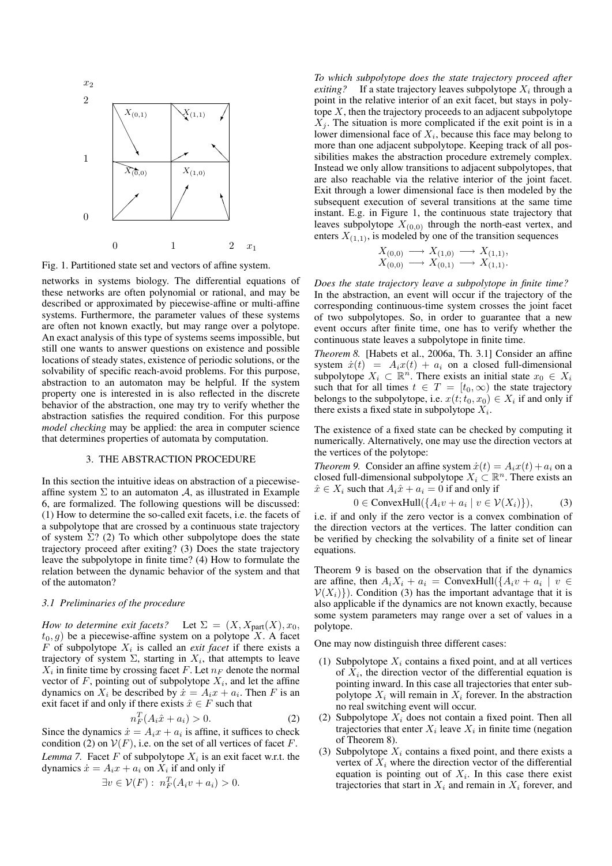

Fig. 1. Partitioned state set and vectors of affine system.

networks in systems biology. The differential equations of these networks are often polynomial or rational, and may be described or approximated by piecewise-affine or multi-affine systems. Furthermore, the parameter values of these systems are often not known exactly, but may range over a polytope. An exact analysis of this type of systems seems impossible, but still one wants to answer questions on existence and possible locations of steady states, existence of periodic solutions, or the solvability of specific reach-avoid problems. For this purpose, abstraction to an automaton may be helpful. If the system property one is interested in is also reflected in the discrete behavior of the abstraction, one may try to verify whether the abstraction satisfies the required condition. For this purpose *model checking* may be applied: the area in computer science that determines properties of automata by computation.

## 3. THE ABSTRACTION PROCEDURE

In this section the intuitive ideas on abstraction of a piecewiseaffine system  $\Sigma$  to an automaton A, as illustrated in Example 6, are formalized. The following questions will be discussed: (1) How to determine the so-called exit facets, i.e. the facets of a subpolytope that are crossed by a continuous state trajectory of system  $\Sigma$ ? (2) To which other subpolytope does the state trajectory proceed after exiting? (3) Does the state trajectory leave the subpolytope in finite time? (4) How to formulate the relation between the dynamic behavior of the system and that of the automaton?

#### *3.1 Preliminaries of the procedure*

*How to determine exit facets?* Let  $\Sigma = (X, X_{part}(X), x_0,$  $t_0, g$ ) be a piecewise-affine system on a polytope X. A facet  $F$  of subpolytope  $X_i$  is called an *exit facet* if there exists a trajectory of system  $\Sigma$ , starting in  $X_i$ , that attempts to leave  $X_i$  in finite time by crossing facet F. Let  $n_F$  denote the normal vector of  $F$ , pointing out of subpolytope  $X_i$ , and let the affine dynamics on  $X_i$  be described by  $\dot{x} = A_i x + a_i$ . Then F is an exit facet if and only if there exists  $\hat{x} \in F$  such that

$$
n_F^T(A_i\hat{x} + a_i) > 0.
$$
 (2)

Since the dynamics  $\dot{x} = A_i x + a_i$  is affine, it suffices to check condition (2) on  $V(F)$ , i.e. on the set of all vertices of facet F. *Lemma* 7. Facet  $F$  of subpolytope  $X_i$  is an exit facet w.r.t. the dynamics  $\dot{x} = A_i x + a_i$  on  $X_i$  if and only if

$$
\exists v \in V(F): n_F^T(A_i v + a_i) > 0.
$$

*To which subpolytope does the state trajectory proceed after exiting?* If a state trajectory leaves subpolytope  $X_i$  through a point in the relative interior of an exit facet, but stays in polytope  $X$ , then the trajectory proceeds to an adjacent subpolytope  $X_i$ . The situation is more complicated if the exit point is in a lower dimensional face of  $X_i$ , because this face may belong to more than one adjacent subpolytope. Keeping track of all possibilities makes the abstraction procedure extremely complex. Instead we only allow transitions to adjacent subpolytopes, that are also reachable via the relative interior of the joint facet. Exit through a lower dimensional face is then modeled by the subsequent execution of several transitions at the same time instant. E.g. in Figure 1, the continuous state trajectory that leaves subpolytope  $X_{(0,0)}$  through the north-east vertex, and enters  $X_{(1,1)}$ , is modeled by one of the transition sequences

$$
\begin{array}{ccc} X_{(0,0)} & \longrightarrow & X_{(1,0)} & \longrightarrow & X_{(1,1)}, \\ X_{(0,0)} & \longrightarrow & X_{(0,1)} & \longrightarrow & X_{(1,1)}.\end{array}
$$

*Does the state trajectory leave a subpolytope in finite time?* In the abstraction, an event will occur if the trajectory of the corresponding continuous-time system crosses the joint facet of two subpolytopes. So, in order to guarantee that a new event occurs after finite time, one has to verify whether the continuous state leaves a subpolytope in finite time.

*Theorem 8.* [Habets et al., 2006a, Th. 3.1] Consider an affine system  $\dot{x}(t) = A_i x(t) + a_i$  on a closed full-dimensional subpolytope  $X_i \subset \mathbb{R}^n$ . There exists an initial state  $x_0 \in X_i$ such that for all times  $t \in T = [t_0, \infty)$  the state trajectory belongs to the subpolytope, i.e.  $x(t; t_0, x_0) \in X_i$  if and only if there exists a fixed state in subpolytope  $X_i$ .

The existence of a fixed state can be checked by computing it numerically. Alternatively, one may use the direction vectors at the vertices of the polytope:

*Theorem 9.* Consider an affine system  $\dot{x}(t) = A_i x(t) + a_i$  on a closed full-dimensional subpolytope  $X_i \subset \mathbb{R}^n$ . There exists an  $\hat{x} \in X_i$  such that  $A_i \hat{x} + a_i = 0$  if and only if

$$
0 \in ConvexHull(\{A_i v + a_i \mid v \in \mathcal{V}(X_i)\}),\tag{3}
$$

i.e. if and only if the zero vector is a convex combination of the direction vectors at the vertices. The latter condition can be verified by checking the solvability of a finite set of linear equations.

Theorem 9 is based on the observation that if the dynamics are affine, then  $A_i X_i + a_i = \text{ConvexHull}(\{A_i v + a_i \mid v \in A_i\})$  $V(X_i)$ ). Condition (3) has the important advantage that it is also applicable if the dynamics are not known exactly, because some system parameters may range over a set of values in a polytope.

One may now distinguish three different cases:

- (1) Subpolytope  $X_i$  contains a fixed point, and at all vertices of  $X_i$ , the direction vector of the differential equation is pointing inward. In this case all trajectories that enter subpolytope  $X_i$  will remain in  $X_i$  forever. In the abstraction no real switching event will occur.
- (2) Subpolytope  $X_i$  does not contain a fixed point. Then all trajectories that enter  $X_i$  leave  $X_i$  in finite time (negation of Theorem 8).
- (3) Subpolytope  $X_i$  contains a fixed point, and there exists a vertex of  $X_i$  where the direction vector of the differential equation is pointing out of  $X_i$ . In this case there exist trajectories that start in  $X_i$  and remain in  $X_i$  forever, and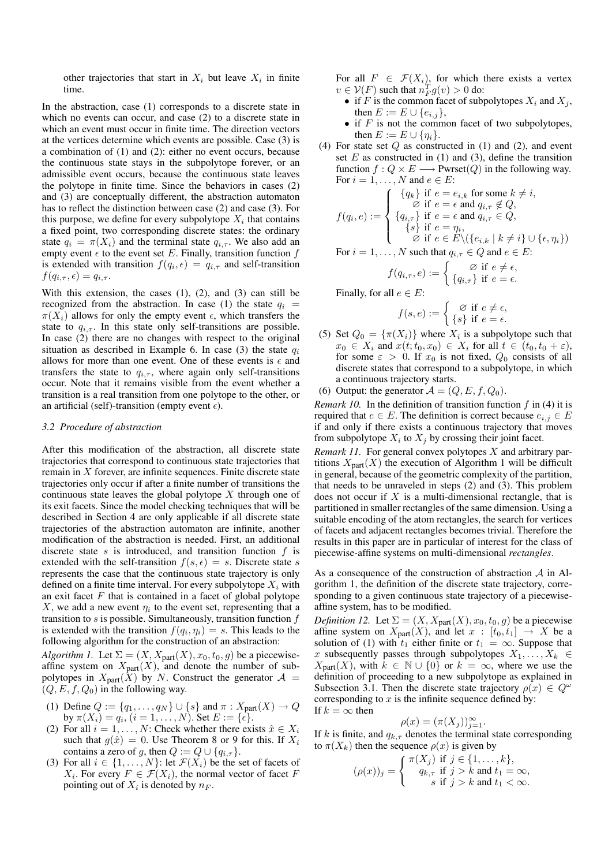other trajectories that start in  $X_i$  but leave  $X_i$  in finite time.

In the abstraction, case (1) corresponds to a discrete state in which no events can occur, and case (2) to a discrete state in which an event must occur in finite time. The direction vectors at the vertices determine which events are possible. Case (3) is a combination of (1) and (2): either no event occurs, because the continuous state stays in the subpolytope forever, or an admissible event occurs, because the continuous state leaves the polytope in finite time. Since the behaviors in cases (2) and (3) are conceptually different, the abstraction automaton has to reflect the distinction between case (2) and case (3). For this purpose, we define for every subpolytope  $X_i$  that contains a fixed point, two corresponding discrete states: the ordinary state  $q_i = \pi(X_i)$  and the terminal state  $q_{i,\tau}$ . We also add an empty event  $\epsilon$  to the event set E. Finally, transition function f is extended with transition  $f(q_i, \epsilon) = q_{i, \tau}$  and self-transition  $f(q_{i,\tau}, \epsilon) = q_{i,\tau}$ .

With this extension, the cases  $(1)$ ,  $(2)$ , and  $(3)$  can still be recognized from the abstraction. In case (1) the state  $q_i$  =  $\pi(X_i)$  allows for only the empty event  $\epsilon$ , which transfers the state to  $q_{i, \tau}$ . In this state only self-transitions are possible. In case (2) there are no changes with respect to the original situation as described in Example 6. In case (3) the state  $q_i$ allows for more than one event. One of these events is  $\epsilon$  and transfers the state to  $q_{i,\tau}$ , where again only self-transitions occur. Note that it remains visible from the event whether a transition is a real transition from one polytope to the other, or an artificial (self)-transition (empty event  $\epsilon$ ).

#### *3.2 Procedure of abstraction*

After this modification of the abstraction, all discrete state trajectories that correspond to continuous state trajectories that remain in X forever, are infinite sequences. Finite discrete state trajectories only occur if after a finite number of transitions the continuous state leaves the global polytope  $X$  through one of its exit facets. Since the model checking techniques that will be described in Section 4 are only applicable if all discrete state trajectories of the abstraction automaton are infinite, another modification of the abstraction is needed. First, an additional discrete state s is introduced, and transition function  $f$  is extended with the self-transition  $f(s, \epsilon) = s$ . Discrete state s represents the case that the continuous state trajectory is only defined on a finite time interval. For every subpolytope  $X_i$  with an exit facet  $F$  that is contained in a facet of global polytope X, we add a new event  $\eta_i$  to the event set, representing that a transition to  $s$  is possible. Simultaneously, transition function  $f$ is extended with the transition  $f(q_i, \eta_i) = s$ . This leads to the following algorithm for the construction of an abstraction:

*Algorithm 1.* Let  $\Sigma = (X, X_{part}(X), x_0, t_0, g)$  be a piecewiseaffine system on  $X_{part}(X)$ , and denote the number of subpolytopes in  $X_{part}(\tilde{X})$  by N. Construct the generator  $\mathcal{A} =$  $(Q, E, f, Q_0)$  in the following way.

- (1) Define  $Q := \{q_1, ..., q_N\} \cup \{s\}$  and  $\pi : X_{part}(X) \to Q$ by  $\pi(X_i) = q_i$ ,  $(i = 1, ..., N)$ . Set  $E := {\hat{\epsilon}}$ .
- (2) For all  $i = 1, \ldots, N$ : Check whether there exists  $\hat{x} \in X_i$ such that  $g(\hat{x}) = 0$ . Use Theorem 8 or 9 for this. If  $X_i$ contains a zero of g, then  $Q := Q \cup \{q_{i,\tau}\}.$
- (3) For all  $i \in \{1, \ldots, N\}$ : let  $\mathcal{F}(X_i)$  be the set of facets of  $X_i$ . For every  $F \in \mathcal{F}(X_i)$ , the normal vector of facet F pointing out of  $X_i$  is denoted by  $n_F$ .

For all  $F \in \mathcal{F}(X_i)$ , for which there exists a vertex  $v \in \mathcal{V}(F)$  such that  $n_F^T g(v) > 0$  do:

- if F is the common facet of subpolytopes  $X_i$  and  $X_j$ , then  $E := E \cup \{e_{i,j}\},\$
- if  $F$  is not the common facet of two subpolytopes, then  $E := E \cup \{\eta_i\}.$
- (4) For state set  $Q$  as constructed in (1) and (2), and event set  $E$  as constructed in (1) and (3), define the transition function  $f: Q \times E \longrightarrow$  Pwrset(Q) in the following way. For  $i = 1, \ldots, N$  and  $e \in E$ :

$$
f(q_i, e) := \begin{cases} \{q_k\} \text{ if } e = e_{i,k} \text{ for some } k \neq i, \\ \varnothing \text{ if } e = \epsilon \text{ and } q_{i,\tau} \notin Q, \\ \{q_{i,\tau}\} \text{ if } e = \epsilon \text{ and } q_{i,\tau} \in Q, \\ \{s\} \text{ if } e = \eta_i, \\ \varnothing \text{ if } e \in E \setminus (\{e_{i,k} \mid k \neq i\} \cup \{\epsilon, \eta_i\}) \end{cases}
$$

For 
$$
i = 1, ..., N
$$
 such that  $q_{i, \tau} \in Q$  and  $e \in E$ :

$$
f(q_{i,\tau}, e) := \begin{cases} \varnothing & \text{if } e \neq \epsilon, \\ \{q_{i,\tau}\} & \text{if } e = \epsilon. \end{cases}
$$

Finally, for all  $e \in E$ :

$$
f(s,e) := \begin{cases} \varnothing & \text{if } e \neq \epsilon, \\ \{s\} & \text{if } e = \epsilon. \end{cases}
$$

- (5) Set  $Q_0 = {\pi(X_i)}$  where  $X_i$  is a subpolytope such that  $x_0 \in X_i$  and  $x(t; t_0, x_0) \in X_i$  for all  $t \in (t_0, t_0 + \varepsilon)$ , for some  $\varepsilon > 0$ . If  $x_0$  is not fixed,  $Q_0$  consists of all discrete states that correspond to a subpolytope, in which a continuous trajectory starts.
- (6) Output: the generator  $A = (Q, E, f, Q_0)$ .

*Remark 10.* In the definition of transition function  $f$  in (4) it is required that  $e \in E$ . The definition is correct because  $e_{i,j} \in E$ if and only if there exists a continuous trajectory that moves from subpolytope  $X_i$  to  $X_j$  by crossing their joint facet.

*Remark 11.* For general convex polytopes X and arbitrary partitions  $X_{part}(X)$  the execution of Algorithm 1 will be difficult in general, because of the geometric complexity of the partition, that needs to be unraveled in steps (2) and (3). This problem does not occur if  $X$  is a multi-dimensional rectangle, that is partitioned in smaller rectangles of the same dimension. Using a suitable encoding of the atom rectangles, the search for vertices of facets and adjacent rectangles becomes trivial. Therefore the results in this paper are in particular of interest for the class of piecewise-affine systems on multi-dimensional *rectangles*.

As a consequence of the construction of abstraction A in Algorithm 1, the definition of the discrete state trajectory, corresponding to a given continuous state trajectory of a piecewiseaffine system, has to be modified.

*Definition 12.* Let  $\Sigma = (X, X_{part}(X), x_0, t_0, g)$  be a piecewise affine system on  $X_{part}(X)$ , and let  $x : [t_0, t_1] \rightarrow X$  be a solution of (1) with  $t_1$  either finite or  $t_1 = \infty$ . Suppose that x subsequently passes through subpolytopes  $X_1, \ldots, X_k \in$  $X_{part}(X)$ , with  $k \in \mathbb{N} \cup \{0\}$  or  $k = \infty$ , where we use the definition of proceeding to a new subpolytope as explained in Subsection 3.1. Then the discrete state trajectory  $\rho(x) \in Q^{\omega}$ corresponding to  $x$  is the infinite sequence defined by: If  $k = \infty$  then

$$
\rho(x) = (\pi(X_j))_{j=1}^{\infty}.
$$

If k is finite, and  $q_{k,\tau}$  denotes the terminal state corresponding to  $\pi(X_k)$  then the sequence  $\rho(x)$  is given by

$$
(\rho(x))_j = \begin{cases} \pi(X_j) & \text{if } j \in \{1, \dots, k\}, \\ q_{k,\tau} & \text{if } j > k \text{ and } t_1 = \infty, \\ s & \text{if } j > k \text{ and } t_1 < \infty. \end{cases}
$$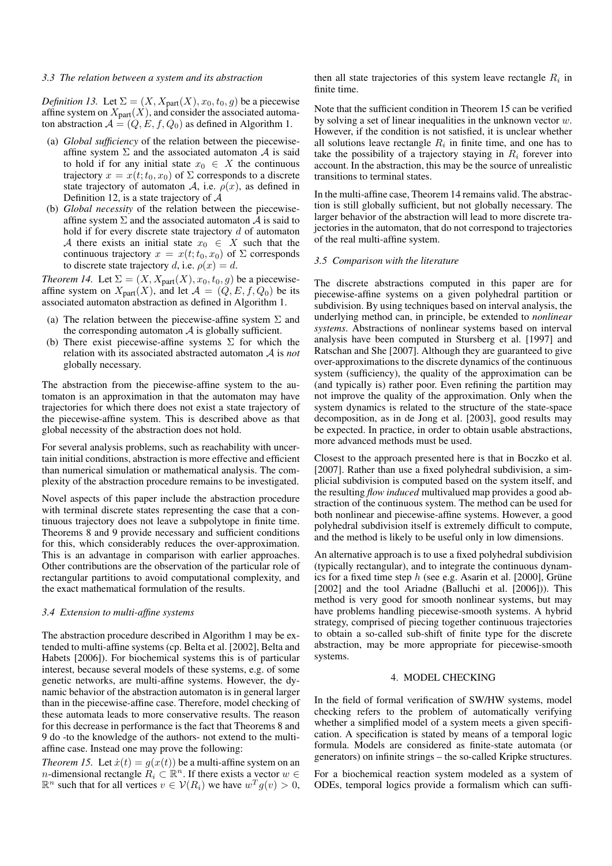#### *3.3 The relation between a system and its abstraction*

*Definition 13.* Let  $\Sigma = (X, X_{part}(X), x_0, t_0, g)$  be a piecewise affine system on  $X_{part}(X)$ , and consider the associated automaton abstraction  $A = (Q, E, f, Q_0)$  as defined in Algorithm 1.

- (a) *Global sufficiency* of the relation between the piecewiseaffine system  $\Sigma$  and the associated automaton  $\mathcal A$  is said to hold if for any initial state  $x_0 \in X$  the continuous trajectory  $x = x(t; t_0, x_0)$  of  $\Sigma$  corresponds to a discrete state trajectory of automaton A, i.e.  $\rho(x)$ , as defined in Definition 12, is a state trajectory of  $A$
- (b) *Global necessity* of the relation between the piecewiseaffine system  $\Sigma$  and the associated automaton  $\mathcal A$  is said to hold if for every discrete state trajectory  $d$  of automaton A there exists an initial state  $x_0 \in X$  such that the continuous trajectory  $x = x(t; t_0, x_0)$  of  $\Sigma$  corresponds to discrete state trajectory d, i.e.  $\rho(x) = d$ .

*Theorem 14.* Let  $\Sigma = (X, X_{part}(X), x_0, t_0, g)$  be a piecewiseaffine system on  $X_{part}(X)$ , and let  $\mathcal{A} = (Q, E, f, Q_0)$  be its associated automaton abstraction as defined in Algorithm 1.

- (a) The relation between the piecewise-affine system  $\Sigma$  and the corresponding automaton  $A$  is globally sufficient.
- (b) There exist piecewise-affine systems  $\Sigma$  for which the relation with its associated abstracted automaton A is *not* globally necessary.

The abstraction from the piecewise-affine system to the automaton is an approximation in that the automaton may have trajectories for which there does not exist a state trajectory of the piecewise-affine system. This is described above as that global necessity of the abstraction does not hold.

For several analysis problems, such as reachability with uncertain initial conditions, abstraction is more effective and efficient than numerical simulation or mathematical analysis. The complexity of the abstraction procedure remains to be investigated.

Novel aspects of this paper include the abstraction procedure with terminal discrete states representing the case that a continuous trajectory does not leave a subpolytope in finite time. Theorems 8 and 9 provide necessary and sufficient conditions for this, which considerably reduces the over-approximation. This is an advantage in comparison with earlier approaches. Other contributions are the observation of the particular role of rectangular partitions to avoid computational complexity, and the exact mathematical formulation of the results.

## *3.4 Extension to multi-affine systems*

The abstraction procedure described in Algorithm 1 may be extended to multi-affine systems (cp. Belta et al. [2002], Belta and Habets [2006]). For biochemical systems this is of particular interest, because several models of these systems, e.g. of some genetic networks, are multi-affine systems. However, the dynamic behavior of the abstraction automaton is in general larger than in the piecewise-affine case. Therefore, model checking of these automata leads to more conservative results. The reason for this decrease in performance is the fact that Theorems 8 and 9 do -to the knowledge of the authors- not extend to the multiaffine case. Instead one may prove the following:

*Theorem 15.* Let  $\dot{x}(t) = q(x(t))$  be a multi-affine system on an *n*-dimensional rectangle  $\widetilde{R}_i \subset \mathbb{R}^n$ . If there exists a vector  $w \in$  $\mathbb{R}^n$  such that for all vertices  $v \in \mathcal{V}(R_i)$  we have  $w^T g(v) > 0$ ,

then all state trajectories of this system leave rectangle  $R_i$  in finite time.

Note that the sufficient condition in Theorem 15 can be verified by solving a set of linear inequalities in the unknown vector  $w$ . However, if the condition is not satisfied, it is unclear whether all solutions leave rectangle  $R_i$  in finite time, and one has to take the possibility of a trajectory staying in  $R_i$  forever into account. In the abstraction, this may be the source of unrealistic transitions to terminal states.

In the multi-affine case, Theorem 14 remains valid. The abstraction is still globally sufficient, but not globally necessary. The larger behavior of the abstraction will lead to more discrete trajectories in the automaton, that do not correspond to trajectories of the real multi-affine system.

### *3.5 Comparison with the literature*

The discrete abstractions computed in this paper are for piecewise-affine systems on a given polyhedral partition or subdivision. By using techniques based on interval analysis, the underlying method can, in principle, be extended to *nonlinear systems*. Abstractions of nonlinear systems based on interval analysis have been computed in Stursberg et al. [1997] and Ratschan and She [2007]. Although they are guaranteed to give over-approximations to the discrete dynamics of the continuous system (sufficiency), the quality of the approximation can be (and typically is) rather poor. Even refining the partition may not improve the quality of the approximation. Only when the system dynamics is related to the structure of the state-space decomposition, as in de Jong et al. [2003], good results may be expected. In practice, in order to obtain usable abstractions, more advanced methods must be used.

Closest to the approach presented here is that in Boczko et al. [2007]. Rather than use a fixed polyhedral subdivision, a simplicial subdivision is computed based on the system itself, and the resulting *flow induced* multivalued map provides a good abstraction of the continuous system. The method can be used for both nonlinear and piecewise-affine systems. However, a good polyhedral subdivision itself is extremely difficult to compute, and the method is likely to be useful only in low dimensions.

An alternative approach is to use a fixed polyhedral subdivision (typically rectangular), and to integrate the continuous dynamics for a fixed time step  $h$  (see e.g. Asarin et al. [2000], Grüne [2002] and the tool Ariadne (Balluchi et al. [2006])). This method is very good for smooth nonlinear systems, but may have problems handling piecewise-smooth systems. A hybrid strategy, comprised of piecing together continuous trajectories to obtain a so-called sub-shift of finite type for the discrete abstraction, may be more appropriate for piecewise-smooth systems.

#### 4. MODEL CHECKING

In the field of formal verification of SW/HW systems, model checking refers to the problem of automatically verifying whether a simplified model of a system meets a given specification. A specification is stated by means of a temporal logic formula. Models are considered as finite-state automata (or generators) on infinite strings – the so-called Kripke structures.

For a biochemical reaction system modeled as a system of ODEs, temporal logics provide a formalism which can suffi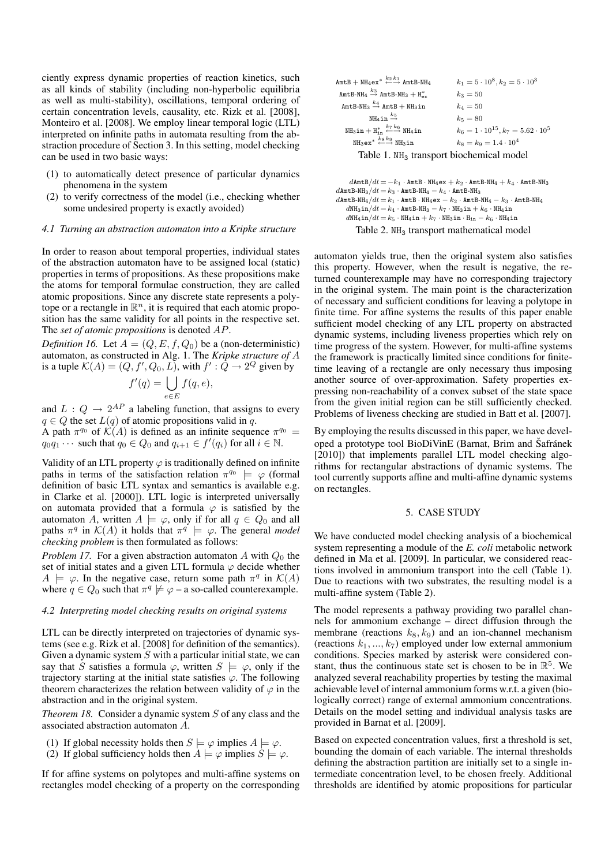ciently express dynamic properties of reaction kinetics, such as all kinds of stability (including non-hyperbolic equilibria as well as multi-stability), oscillations, temporal ordering of certain concentration levels, causality, etc. Rizk et al. [2008], Monteiro et al. [2008]. We employ linear temporal logic (LTL) interpreted on infinite paths in automata resulting from the abstraction procedure of Section 3. In this setting, model checking can be used in two basic ways:

- (1) to automatically detect presence of particular dynamics phenomena in the system
- (2) to verify correctness of the model (i.e., checking whether some undesired property is exactly avoided)

### *4.1 Turning an abstraction automaton into a Kripke structure*

In order to reason about temporal properties, individual states of the abstraction automaton have to be assigned local (static) properties in terms of propositions. As these propositions make the atoms for temporal formulae construction, they are called atomic propositions. Since any discrete state represents a polytope or a rectangle in  $\mathbb{R}^n$ , it is required that each atomic proposition has the same validity for all points in the respective set. The *set of atomic propositions* is denoted AP.

*Definition 16.* Let  $A = (Q, E, f, Q_0)$  be a (non-deterministic) automaton, as constructed in Alg. 1. The *Kripke structure of* A is a tuple  $\mathcal{K}(A) = (Q, f', Q_0, L)$ , with  $f' : \overline{Q} \to 2^Q$  given by

$$
f'(q) = \bigcup_{e \in E} f(q, e),
$$

and  $L: Q \to 2^{AP}$  a labeling function, that assigns to every  $q \in Q$  the set  $L(q)$  of atomic propositions valid in q.

A path  $\pi^{q_0}$  of  $\mathcal{K}(A)$  is defined as an infinite sequence  $\pi^{q_0}$  =  $q_0q_1 \cdots$  such that  $q_0 \in Q_0$  and  $q_{i+1} \in f'(q_i)$  for all  $i \in \mathbb{N}$ .

Validity of an LTL property  $\varphi$  is traditionally defined on infinite paths in terms of the satisfaction relation  $\pi^{q_0} \models \varphi$  (formal definition of basic LTL syntax and semantics is available e.g. in Clarke et al. [2000]). LTL logic is interpreted universally on automata provided that a formula  $\varphi$  is satisfied by the automaton A, written  $A \models \varphi$ , only if for all  $q \in Q_0$  and all paths  $\pi^q$  in  $\mathcal{K}(A)$  it holds that  $\pi^q \models \varphi$ . The general *model checking problem* is then formulated as follows:

*Problem 17.* For a given abstraction automaton A with  $Q_0$  the set of initial states and a given LTL formula  $\varphi$  decide whether  $A \models \varphi$ . In the negative case, return some path  $\pi^q$  in  $\mathcal{K}(A)$ where  $q \in Q_0$  such that  $\pi^q \not\models \varphi$  – a so-called counterexample.

#### *4.2 Interpreting model checking results on original systems*

LTL can be directly interpreted on trajectories of dynamic systems (see e.g. Rizk et al. [2008] for definition of the semantics). Given a dynamic system  $S$  with a particular initial state, we can say that S satisfies a formula  $\varphi$ , written  $S \models \varphi$ , only if the trajectory starting at the initial state satisfies  $\varphi$ . The following theorem characterizes the relation between validity of  $\varphi$  in the abstraction and in the original system.

*Theorem 18.* Consider a dynamic system S of any class and the associated abstraction automaton A.

- (1) If global necessity holds then  $S \models \varphi$  implies  $A \models \varphi$ .
- (2) If global sufficiency holds then  $A \models \varphi$  implies  $S \models \varphi$ .

If for affine systems on polytopes and multi-affine systems on rectangles model checking of a property on the corresponding

| $\texttt{AmtB} + \texttt{NH}_4$ ex <sup>*</sup> $\xleftarrow{k_2} \overset{k_1}{\longleftrightarrow} \texttt{AmtB-NH}_4$ | $k_1 = 5 \cdot 10^8, k_2 = 5 \cdot 10^3$          |
|--------------------------------------------------------------------------------------------------------------------------|---------------------------------------------------|
| AmtB-NH <sub>4</sub> $\stackrel{k_3}{\rightarrow}$ AmtB-NH <sub>3</sub> + H <sub>ex</sub>                                | $k_3 = 50$                                        |
| AmtB-NH <sub>3</sub> $\xrightarrow{k_4}$ AmtB + NH <sub>3</sub> in                                                       | $k_A = 50$                                        |
| NH <sub>4</sub> in $\stackrel{k_5}{\rightarrow}$                                                                         | $k_5 = 80$                                        |
| $NH_3$ in + $H_{in}^* \stackrel{k_7k_6}{\longleftarrow} NH_4$ in                                                         | $k_6 = 1 \cdot 10^{15}$ , $k_7 = 5.62 \cdot 10^5$ |
| $NH_3ex^* \stackrel{k_8k_9}{\longleftrightarrow} NH_3in$                                                                 | $k_8 = k_9 = 1.4 \cdot 10^4$                      |
| Table 1. NH <sub>3</sub> transport biochemical model                                                                     |                                                   |

```
dAmtB/dt = -k_1 \cdot AmtB · NH<sub>4</sub>ex + k_2 \cdot AmtB-NH<sub>4</sub> + k_4 \cdot AmtB-NH<sub>3</sub>
dAmtB-NH<sub>3</sub>/dt = k_3 \cdot AmtB-NH<sub>4</sub> – k_4 \cdot AmtB-NH<sub>3</sub>
dAmtB-NH<sub>4</sub>/dt = k_1 \cdot AmtB·NH<sub>4</sub>ex - k_2 \cdot AmtB-NH<sub>4</sub> - k_3 \cdot AmtB-NH<sub>4</sub>
     d{\tt NH_3in}/dt = k_4 \cdot {\tt AmtB-NH_3} - k_7 \cdot {\tt NH_3in} + k_6 \cdot {\tt NH_4in}d\mathrm{NH_4\,in}/dt = k_5\,\cdotNH<sub>4</sub>in + k_7\,\cdotNH<sub>3</sub>in · H<sub>in</sub> + k_6\,\cdotNH<sub>4</sub>in
           Table 2. NH<sub>3</sub> transport mathematical model
```
automaton yields true, then the original system also satisfies this property. However, when the result is negative, the returned counterexample may have no corresponding trajectory in the original system. The main point is the characterization of necessary and sufficient conditions for leaving a polytope in finite time. For affine systems the results of this paper enable sufficient model checking of any LTL property on abstracted dynamic systems, including liveness properties which rely on time progress of the system. However, for multi-affine systems the framework is practically limited since conditions for finitetime leaving of a rectangle are only necessary thus imposing another source of over-approximation. Safety properties expressing non-reachability of a convex subset of the state space from the given initial region can be still sufficiently checked. Problems of liveness checking are studied in Batt et al. [2007].

By employing the results discussed in this paper, we have developed a prototype tool BioDiVinE (Barnat, Brim and Šafránek [2010]) that implements parallel LTL model checking algorithms for rectangular abstractions of dynamic systems. The tool currently supports affine and multi-affine dynamic systems on rectangles.

## 5. CASE STUDY

We have conducted model checking analysis of a biochemical system representing a module of the *E. coli* metabolic network defined in Ma et al. [2009]. In particular, we considered reactions involved in ammonium transport into the cell (Table 1). Due to reactions with two substrates, the resulting model is a multi-affine system (Table 2).

The model represents a pathway providing two parallel channels for ammonium exchange – direct diffusion through the membrane (reactions  $k_8$ ,  $k_9$ ) and an ion-channel mechanism (reactions  $k_1, ..., k_7$ ) employed under low external ammonium conditions. Species marked by asterisk were considered constant, thus the continuous state set is chosen to be in  $\mathbb{R}^5$ . We analyzed several reachability properties by testing the maximal achievable level of internal ammonium forms w.r.t. a given (biologically correct) range of external ammonium concentrations. Details on the model setting and individual analysis tasks are provided in Barnat et al. [2009].

Based on expected concentration values, first a threshold is set, bounding the domain of each variable. The internal thresholds defining the abstraction partition are initially set to a single intermediate concentration level, to be chosen freely. Additional thresholds are identified by atomic propositions for particular